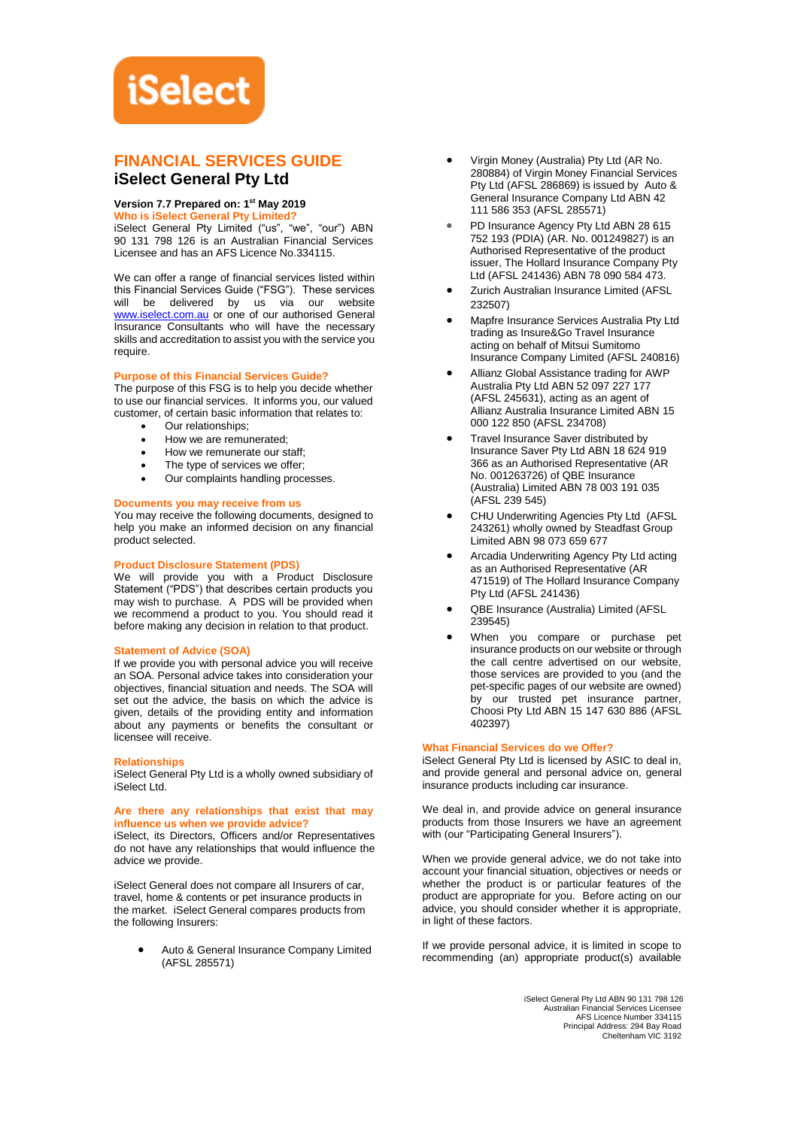# **iSelect**

# **FINANCIAL SERVICES GUIDE iSelect General Pty Ltd**

# **Version 7.7 Prepared on: 1 st May 2019**

**Who is iSelect General Pty Limited?**

iSelect General Pty Limited ("us", "we", "our") ABN 90 131 798 126 is an Australian Financial Services Licensee and has an AFS Licence No.334115.

We can offer a range of financial services listed within this Financial Services Guide ("FSG"). These services will be delivered by us via our website [www.iselect.com.au](http://www.iselect.com.au/) or one of our authorised General Insurance Consultants who will have the necessary skills and accreditation to assist you with the service you require.

# **Purpose of this Financial Services Guide?**

The purpose of this FSG is to help you decide whether to use our financial services. It informs you, our valued customer, of certain basic information that relates to:

- Our relationships:
- How we are remunerated;
- How we remunerate our staff:
- The type of services we offer;
- Our complaints handling processes.

# **Documents you may receive from us**

You may receive the following documents, designed to help you make an informed decision on any financial product selected.

## **Product Disclosure Statement (PDS)**

We will provide you with a Product Disclosure Statement ("PDS") that describes certain products you may wish to purchase. A PDS will be provided when we recommend a product to you. You should read it before making any decision in relation to that product.

# **Statement of Advice (SOA)**

If we provide you with personal advice you will receive an SOA. Personal advice takes into consideration your objectives, financial situation and needs. The SOA will set out the advice, the basis on which the advice is given, details of the providing entity and information about any payments or benefits the consultant or licensee will receive.

### **Relationships**

iSelect General Pty Ltd is a wholly owned subsidiary of iSelect Ltd.

# **Are there any relationships that exist that may influence us when we provide advice?**

iSelect, its Directors, Officers and/or Representatives do not have any relationships that would influence the advice we provide.

iSelect General does not compare all Insurers of car, travel, home & contents or pet insurance products in the market. iSelect General compares products from the following Insurers:

> • Auto & General Insurance Company Limited (AFSL 285571)

- Virgin Money (Australia) Pty Ltd (AR No. 280884) of Virgin Money Financial Services Pty Ltd (AFSL 286869) is issued by Auto & General Insurance Company Ltd ABN 42 111 586 353 (AFSL 285571)
- PD Insurance Agency Pty Ltd ABN 28 615 752 193 (PDIA) (AR. No. 001249827) is an Authorised Representative of the product issuer, The Hollard Insurance Company Pty Ltd (AFSL 241436) ABN 78 090 584 473.
- Zurich Australian Insurance Limited (AFSL 232507)
- Mapfre Insurance Services Australia Pty Ltd trading as Insure&Go Travel Insurance acting on behalf of Mitsui Sumitomo Insurance Company Limited (AFSL 240816)
- Allianz Global Assistance trading for AWP Australia Pty Ltd ABN 52 097 227 177 (AFSL 245631), acting as an agent of Allianz Australia Insurance Limited ABN 15 000 122 850 (AFSL 234708)
- Travel Insurance Saver distributed by Insurance Saver Pty Ltd ABN 18 624 919 366 as an Authorised Representative (AR No. 001263726) of QBE Insurance (Australia) Limited ABN 78 003 191 035 (AFSL 239 545)
- CHU Underwriting Agencies Pty Ltd (AFSL 243261) wholly owned by Steadfast Group Limited ABN 98 073 659 677
- Arcadia Underwriting Agency Pty Ltd acting as an Authorised Representative (AR 471519) of The Hollard Insurance Company Pty Ltd (AFSL 241436)
- QBE Insurance (Australia) Limited (AFSL 239545)
- When you compare or purchase pet insurance products on our website or through the call centre advertised on our website, those services are provided to you (and the pet-specific pages of our website are owned) by our trusted pet insurance partner, Choosi Pty Ltd ABN 15 147 630 886 (AFSL 402397)

# **What Financial Services do we Offer?**

iSelect General Pty Ltd is licensed by ASIC to deal in, and provide general and personal advice on, general insurance products including car insurance.

We deal in, and provide advice on general insurance products from those Insurers we have an agreement with (our "Participating General Insurers").

When we provide general advice, we do not take into account your financial situation, objectives or needs or whether the product is or particular features of the product are appropriate for you. Before acting on our advice, you should consider whether it is appropriate, in light of these factors.

If we provide personal advice, it is limited in scope to recommending (an) appropriate product(s) available

> iSelect General Pty Ltd ABN 90 131 798 126 Australian Financial Services Licensee AFS Licence Number 334115 Principal Address: 294 Bay Road Cheltenham VIC 3192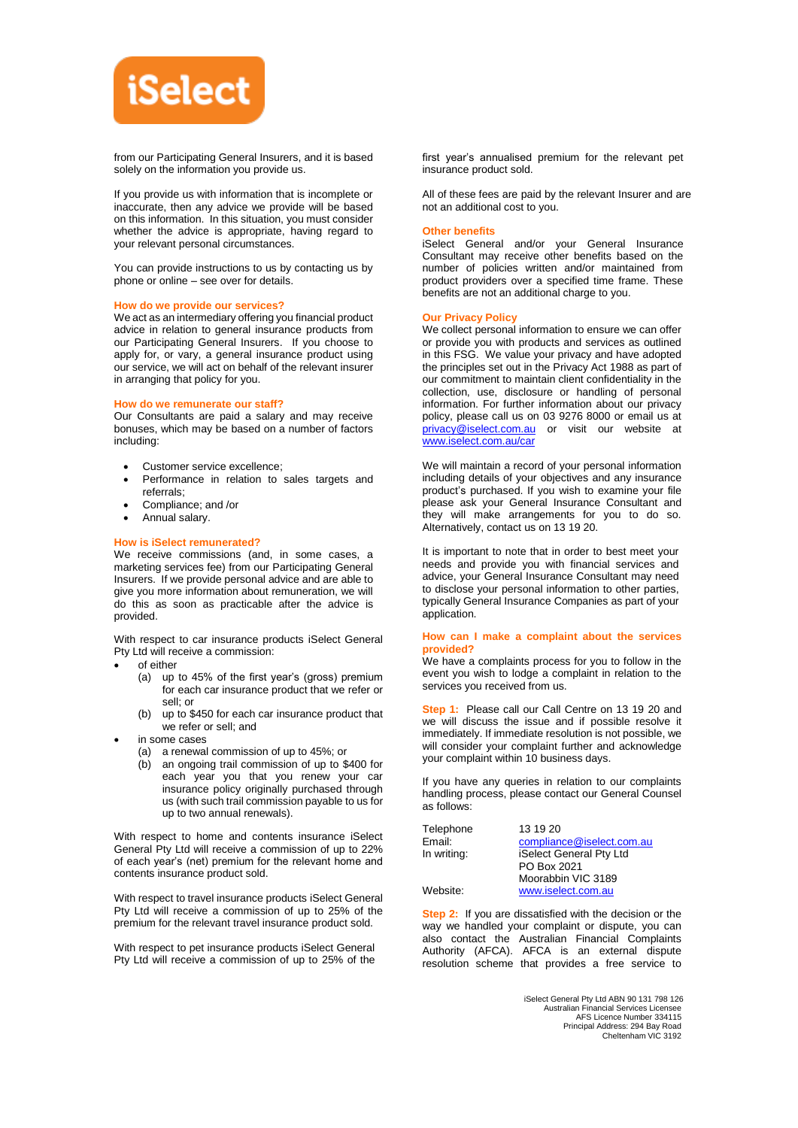

from our Participating General Insurers, and it is based solely on the information you provide us.

If you provide us with information that is incomplete or inaccurate, then any advice we provide will be based on this information. In this situation, you must consider whether the advice is appropriate, having regard to your relevant personal circumstances.

You can provide instructions to us by contacting us by phone or online – see over for details.

#### **How do we provide our services?**

We act as an intermediary offering you financial product advice in relation to general insurance products from our Participating General Insurers. If you choose to apply for, or vary, a general insurance product using our service, we will act on behalf of the relevant insurer in arranging that policy for you.

### **How do we remunerate our staff?**

Our Consultants are paid a salary and may receive bonuses, which may be based on a number of factors including:

- Customer service excellence;
- Performance in relation to sales targets and referrals;
- Compliance; and /or
- Annual salary.

# **How is iSelect remunerated?**

We receive commissions (and, in some cases, a marketing services fee) from our Participating General Insurers. If we provide personal advice and are able to give you more information about remuneration, we will do this as soon as practicable after the advice is provided.

With respect to car insurance products iSelect General Pty Ltd will receive a commission:

- of either
	- (a) up to 45% of the first year's (gross) premium for each car insurance product that we refer or sell; or
	- (b) up to \$450 for each car insurance product that we refer or sell; and
- in some cases
	- (a) a renewal commission of up to 45%; or
	- (b) an ongoing trail commission of up to \$400 for each year you that you renew your car insurance policy originally purchased through us (with such trail commission payable to us for up to two annual renewals).

With respect to home and contents insurance iSelect General Pty Ltd will receive a commission of up to 22% of each year's (net) premium for the relevant home and contents insurance product sold.

With respect to travel insurance products iSelect General Pty Ltd will receive a commission of up to 25% of the premium for the relevant travel insurance product sold.

With respect to pet insurance products iSelect General Pty Ltd will receive a commission of up to 25% of the

first year's annualised premium for the relevant pet insurance product sold.

All of these fees are paid by the relevant Insurer and are not an additional cost to you.

#### **Other benefits**

iSelect General and/or your General Insurance Consultant may receive other benefits based on the number of policies written and/or maintained from product providers over a specified time frame. These benefits are not an additional charge to you.

#### **Our Privacy Policy**

We collect personal information to ensure we can offer or provide you with products and services as outlined in this FSG. We value your privacy and have adopted the principles set out in the Privacy Act 1988 as part of our commitment to maintain client confidentiality in the collection, use, disclosure or handling of personal information. For further information about our privacy policy, please call us on 03 9276 8000 or email us at [privacy@iselect.com.au](mailto:privacy@iselect.com.au) or visit our website at [www.iselect.com.au/car](http://www.iselect.com.au/car)

We will maintain a record of your personal information including details of your objectives and any insurance product's purchased. If you wish to examine your file please ask your General Insurance Consultant and they will make arrangements for you to do so. Alternatively, contact us on 13 19 20.

It is important to note that in order to best meet your needs and provide you with financial services and advice, your General Insurance Consultant may need to disclose your personal information to other parties, typically General Insurance Companies as part of your application.

### **How can I make a complaint about the services provided?**

We have a complaints process for you to follow in the event you wish to lodge a complaint in relation to the services you received from us.

**Step 1:** Please call our Call Centre on 13 19 20 and we will discuss the issue and if possible resolve it immediately. If immediate resolution is not possible, we will consider your complaint further and acknowledge your complaint within 10 business days.

If you have any queries in relation to our complaints handling process, please contact our General Counsel as follows:

| Telephone   | 13 19 20                  |
|-------------|---------------------------|
| Email:      | compliance@iselect.com.au |
| In writing: | iSelect General Pty Ltd   |
|             | PO Box 2021               |
|             | Moorabbin VIC 3189        |
| Website:    | www.iselect.com.au        |
|             |                           |

**Step 2:** If you are dissatisfied with the decision or the way we handled your complaint or dispute, you can also contact the Australian Financial Complaints Authority (AFCA). AFCA is an external dispute resolution scheme that provides a free service to

> iSelect General Pty Ltd ABN 90 131 798 126 Australian Financial Services Licensee AFS Licence Number 334115 Principal Address: 294 Bay Road Cheltenham VIC 3192